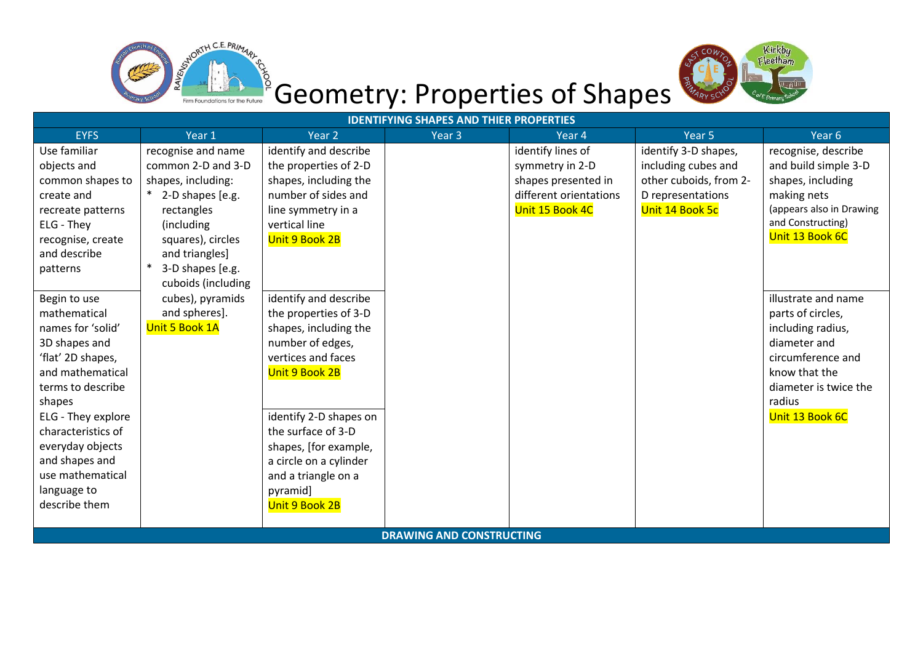



## Geometry: Properties of Shapes

| <b>IDENTIFYING SHAPES AND THIER PROPERTIES</b> |                            |                        |                   |                        |                        |                          |  |  |
|------------------------------------------------|----------------------------|------------------------|-------------------|------------------------|------------------------|--------------------------|--|--|
| <b>EYFS</b>                                    | Year 1                     | Year 2                 | Year <sub>3</sub> | Year 4                 | Year 5                 | Year <sub>6</sub>        |  |  |
| Use familiar                                   | recognise and name         | identify and describe  |                   | identify lines of      | identify 3-D shapes,   | recognise, describe      |  |  |
| objects and                                    | common 2-D and 3-D         | the properties of 2-D  |                   | symmetry in 2-D        | including cubes and    | and build simple 3-D     |  |  |
| common shapes to                               | shapes, including:         | shapes, including the  |                   | shapes presented in    | other cuboids, from 2- | shapes, including        |  |  |
| create and                                     | * 2-D shapes [e.g.         | number of sides and    |                   | different orientations | D representations      | making nets              |  |  |
| recreate patterns                              | rectangles                 | line symmetry in a     |                   | Unit 15 Book 4C        | Unit 14 Book 5c        | (appears also in Drawing |  |  |
| ELG - They                                     | (including                 | vertical line          |                   |                        |                        | and Constructing)        |  |  |
| recognise, create                              | squares), circles          | Unit 9 Book 2B         |                   |                        |                        | Unit 13 Book 6C          |  |  |
| and describe                                   | and triangles]             |                        |                   |                        |                        |                          |  |  |
| patterns                                       | 3-D shapes [e.g.<br>$\ast$ |                        |                   |                        |                        |                          |  |  |
|                                                | cuboids (including         |                        |                   |                        |                        |                          |  |  |
| Begin to use                                   | cubes), pyramids           | identify and describe  |                   |                        |                        | illustrate and name      |  |  |
| mathematical                                   | and spheres].              | the properties of 3-D  |                   |                        |                        | parts of circles,        |  |  |
| names for 'solid'                              | Unit 5 Book 1A             | shapes, including the  |                   |                        |                        | including radius,        |  |  |
| 3D shapes and                                  |                            | number of edges,       |                   |                        |                        | diameter and             |  |  |
| 'flat' 2D shapes,                              |                            | vertices and faces     |                   |                        |                        | circumference and        |  |  |
| and mathematical                               |                            | Unit 9 Book 2B         |                   |                        |                        | know that the            |  |  |
| terms to describe                              |                            |                        |                   |                        |                        | diameter is twice the    |  |  |
| shapes                                         |                            |                        |                   |                        |                        | radius                   |  |  |
| ELG - They explore                             |                            | identify 2-D shapes on |                   |                        |                        | Unit 13 Book 6C          |  |  |
| characteristics of                             |                            | the surface of 3-D     |                   |                        |                        |                          |  |  |
| everyday objects                               |                            | shapes, [for example,  |                   |                        |                        |                          |  |  |
| and shapes and                                 |                            | a circle on a cylinder |                   |                        |                        |                          |  |  |
| use mathematical                               |                            | and a triangle on a    |                   |                        |                        |                          |  |  |
| language to                                    |                            | pyramid]               |                   |                        |                        |                          |  |  |
| describe them                                  |                            | Unit 9 Book 2B         |                   |                        |                        |                          |  |  |
|                                                |                            |                        |                   |                        |                        |                          |  |  |
| <b>DRAWING AND CONSTRUCTING</b>                |                            |                        |                   |                        |                        |                          |  |  |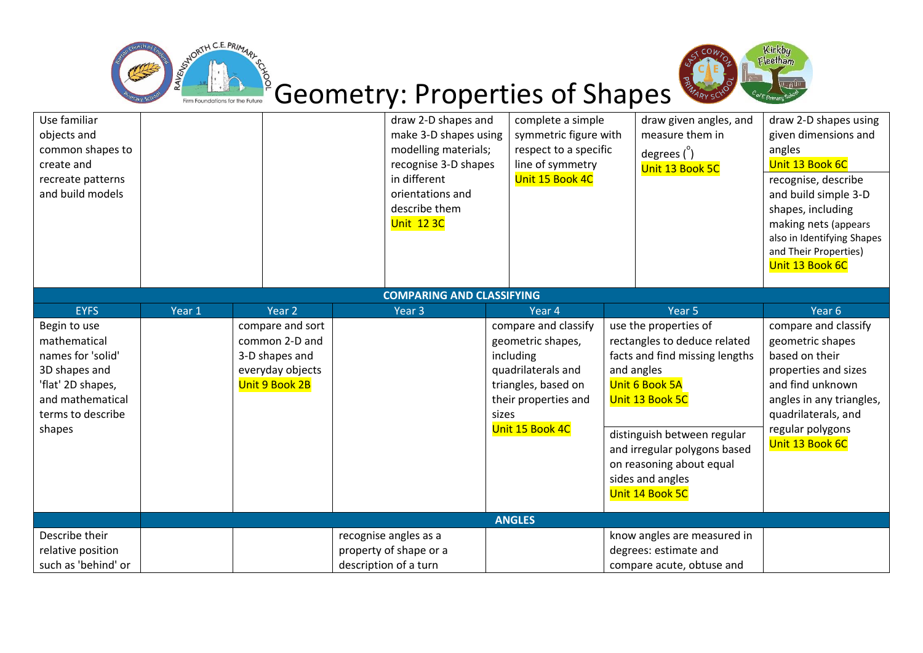



## Geometry: Properties of Shapes

| Use familiar<br>objects and<br>common shapes to<br>create and<br>recreate patterns<br>and build models                                     |                  |                                                                                            | draw 2-D shapes and<br>make 3-D shapes using<br>modelling materials;<br>recognise 3-D shapes<br>in different<br>orientations and<br>describe them<br><b>Unit 123C</b> |        | complete a simple<br>symmetric figure with<br>respect to a specific<br>line of symmetry<br>Unit 15 Book 4C                                     |                   | draw given angles, and<br>measure them in<br>degrees $\binom{0}{1}$<br>Unit 13 Book 5C                                                                                                                                                                                       | draw 2-D shapes using<br>given dimensions and<br>angles<br>Unit 13 Book 6C<br>recognise, describe<br>and build simple 3-D<br>shapes, including<br>making nets (appears<br>also in Identifying Shapes<br>and Their Properties)<br>Unit 13 Book 6C |  |
|--------------------------------------------------------------------------------------------------------------------------------------------|------------------|--------------------------------------------------------------------------------------------|-----------------------------------------------------------------------------------------------------------------------------------------------------------------------|--------|------------------------------------------------------------------------------------------------------------------------------------------------|-------------------|------------------------------------------------------------------------------------------------------------------------------------------------------------------------------------------------------------------------------------------------------------------------------|--------------------------------------------------------------------------------------------------------------------------------------------------------------------------------------------------------------------------------------------------|--|
| <b>COMPARING AND CLASSIFYING</b>                                                                                                           |                  |                                                                                            |                                                                                                                                                                       |        |                                                                                                                                                |                   |                                                                                                                                                                                                                                                                              |                                                                                                                                                                                                                                                  |  |
| <b>EYFS</b>                                                                                                                                | Year 2<br>Year 1 |                                                                                            | Year 3                                                                                                                                                                | Year 4 |                                                                                                                                                | Year <sub>5</sub> |                                                                                                                                                                                                                                                                              | Year 6                                                                                                                                                                                                                                           |  |
| Begin to use<br>mathematical<br>names for 'solid'<br>3D shapes and<br>'flat' 2D shapes,<br>and mathematical<br>terms to describe<br>shapes |                  | compare and sort<br>common 2-D and<br>3-D shapes and<br>everyday objects<br>Unit 9 Book 2B |                                                                                                                                                                       | sizes  | compare and classify<br>geometric shapes,<br>including<br>quadrilaterals and<br>triangles, based on<br>their properties and<br>Unit 15 Book 4C |                   | use the properties of<br>rectangles to deduce related<br>facts and find missing lengths<br>and angles<br>Unit 6 Book 5A<br>Unit 13 Book 5C<br>distinguish between regular<br>and irregular polygons based<br>on reasoning about equal<br>sides and angles<br>Unit 14 Book 5C | compare and classify<br>geometric shapes<br>based on their<br>properties and sizes<br>and find unknown<br>angles in any triangles,<br>quadrilaterals, and<br>regular polygons<br>Unit 13 Book 6C                                                 |  |
| <b>ANGLES</b>                                                                                                                              |                  |                                                                                            |                                                                                                                                                                       |        |                                                                                                                                                |                   |                                                                                                                                                                                                                                                                              |                                                                                                                                                                                                                                                  |  |
| Describe their<br>relative position<br>such as 'behind' or                                                                                 |                  |                                                                                            | recognise angles as a<br>property of shape or a<br>description of a turn                                                                                              |        |                                                                                                                                                |                   | know angles are measured in<br>degrees: estimate and<br>compare acute, obtuse and                                                                                                                                                                                            |                                                                                                                                                                                                                                                  |  |